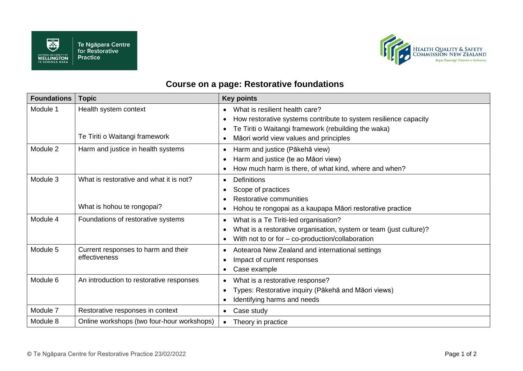



## **Course on a page: Restorative foundations**

| <b>Foundations</b> | <b>Topic</b>                                         | <b>Key points</b>                                                             |
|--------------------|------------------------------------------------------|-------------------------------------------------------------------------------|
| Module 1           | Health system context                                | What is resilient health care?<br>$\bullet$                                   |
|                    |                                                      | How restorative systems contribute to system resilience capacity<br>$\bullet$ |
|                    |                                                      | Te Tiriti o Waitangi framework (rebuilding the waka)<br>$\bullet$             |
|                    | Te Tiriti o Waitangi framework                       | Māori world view values and principles                                        |
| Module 2           | Harm and justice in health systems                   | Harm and justice (Pākehā view)<br>$\bullet$                                   |
|                    |                                                      | Harm and justice (te ao Māori view)                                           |
|                    |                                                      | How much harm is there, of what kind, where and when?                         |
| Module 3           | What is restorative and what it is not?              | Definitions<br>$\bullet$                                                      |
|                    |                                                      | Scope of practices                                                            |
|                    |                                                      | Restorative communities                                                       |
|                    | What is hohou te rongopai?                           | Hohou te rongopai as a kaupapa Māori restorative practice                     |
| Module 4           | Foundations of restorative systems                   | What is a Te Tiriti-led organisation?<br>$\bullet$                            |
|                    |                                                      | What is a restorative organisation, system or team (just culture)?            |
|                    |                                                      | With not to or for $-$ co-production/collaboration<br>$\bullet$               |
| Module 5           | Current responses to harm and their<br>effectiveness | Aotearoa New Zealand and international settings<br>$\bullet$                  |
|                    |                                                      | Impact of current responses                                                   |
|                    |                                                      | Case example<br>$\bullet$                                                     |
| Module 6           | An introduction to restorative responses             | What is a restorative response?<br>$\bullet$                                  |
|                    |                                                      | Types: Restorative inquiry (Pākehā and Māori views)                           |
|                    |                                                      | Identifying harms and needs                                                   |
| Module 7           | Restorative responses in context                     | Case study<br>$\bullet$                                                       |
| Module 8           | Online workshops (two four-hour workshops)           | Theory in practice<br>$\bullet$                                               |